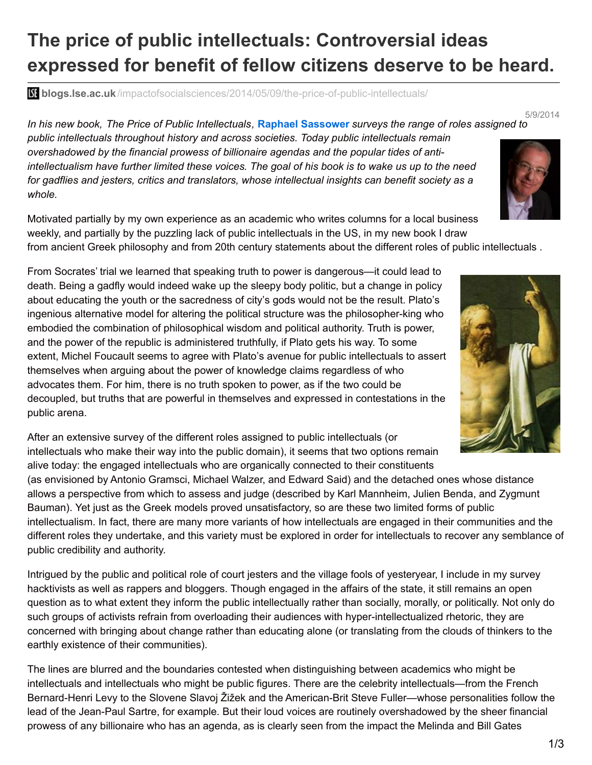## **The price of public intellectuals: Controversial ideas expressed for benefit of fellow citizens deserve to be heard.**

**blogs.lse.ac.uk**[/impactofsocialsciences/2014/05/09/the-price-of-public-intellectuals/](http://blogs.lse.ac.uk/impactofsocialsciences/2014/05/09/the-price-of-public-intellectuals/)

In his new book, The Price of Public Intellectuals, Raphael Sassower surveys the range of roles assigned to *public intellectuals throughout history and across societies. Today public intellectuals remain overshadowed by the financial prowess of billionaire agendas and the popular tides of anti*intellectualism have further limited these voices. The goal of his book is to wake us up to the need *for gadflies and jesters, critics and translators, whose intellectual insights can benefit society as a whole.*



5/9/2014

Motivated partially by my own experience as an academic who writes columns for a local business weekly, and partially by the puzzling lack of public intellectuals in the US, in my new book I draw

from ancient Greek philosophy and from 20th century statements about the different roles of public intellectuals .

From Socrates' trial we learned that speaking truth to power is dangerous—it could lead to death. Being a gadfly would indeed wake up the sleepy body politic, but a change in policy about educating the youth or the sacredness of city's gods would not be the result. Plato's ingenious alternative model for altering the political structure was the philosopher-king who embodied the combination of philosophical wisdom and political authority. Truth is power, and the power of the republic is administered truthfully, if Plato gets his way. To some extent, Michel Foucault seems to agree with Plato's avenue for public intellectuals to assert themselves when arguing about the power of knowledge claims regardless of who advocates them. For him, there is no truth spoken to power, as if the two could be decoupled, but truths that are powerful in themselves and expressed in contestations in the public arena.



After an extensive survey of the different roles assigned to public intellectuals (or intellectuals who make their way into the public domain), it seems that two options remain alive today: the engaged intellectuals who are organically connected to their constituents

(as envisioned by Antonio Gramsci, Michael Walzer, and Edward Said) and the detached ones whose distance allows a perspective from which to assess and judge (described by Karl Mannheim, Julien Benda, and Zygmunt Bauman). Yet just as the Greek models proved unsatisfactory, so are these two limited forms of public intellectualism. In fact, there are many more variants of how intellectuals are engaged in their communities and the different roles they undertake, and this variety must be explored in order for intellectuals to recover any semblance of public credibility and authority.

Intrigued by the public and political role of court jesters and the village fools of yesteryear, I include in my survey hacktivists as well as rappers and bloggers. Though engaged in the affairs of the state, it still remains an open question as to what extent they inform the public intellectually rather than socially, morally, or politically. Not only do such groups of activists refrain from overloading their audiences with hyper-intellectualized rhetoric, they are concerned with bringing about change rather than educating alone (or translating from the clouds of thinkers to the earthly existence of their communities).

The lines are blurred and the boundaries contested when distinguishing between academics who might be intellectuals and intellectuals who might be public figures. There are the celebrity intellectuals—from the French Bernard-Henri Levy to the Slovene Slavoj Žižek and the American-Brit Steve Fuller—whose personalities follow the lead of the Jean-Paul Sartre, for example. But their loud voices are routinely overshadowed by the sheer financial prowess of any billionaire who has an agenda, as is clearly seen from the impact the Melinda and Bill Gates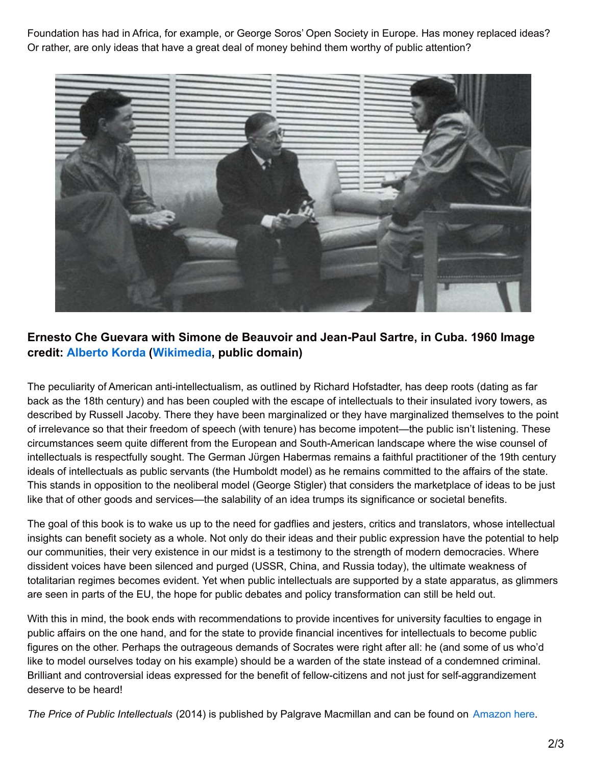Foundation has had in Africa, for example, or George Soros' Open Society in Europe. Has money replaced ideas? Or rather, are only ideas that have a great deal of money behind them worthy of public attention?



## **Ernesto Che Guevara with Simone de Beauvoir and Jean-Paul Sartre, in Cuba. 1960 Image credit: [Alberto](http://en.wikipedia.org/wiki/Alberto_Korda) Korda ([Wikimedia](http://en.wikipedia.org/wiki/File:Beauvoir_Sartre_-_Che_Guevara_-1960_-_Cuba.jpg), public domain)**

The peculiarity of American anti-intellectualism, as outlined by Richard Hofstadter, has deep roots (dating as far back as the 18th century) and has been coupled with the escape of intellectuals to their insulated ivory towers, as described by Russell Jacoby. There they have been marginalized or they have marginalized themselves to the point of irrelevance so that their freedom of speech (with tenure) has become impotent—the public isn't listening. These circumstances seem quite different from the European and South-American landscape where the wise counsel of intellectuals is respectfully sought. The German Jürgen Habermas remains a faithful practitioner of the 19th century ideals of intellectuals as public servants (the Humboldt model) as he remains committed to the affairs of the state. This stands in opposition to the neoliberal model (George Stigler) that considers the marketplace of ideas to be just like that of other goods and services—the salability of an idea trumps its significance or societal benefits.

The goal of this book is to wake us up to the need for gadflies and jesters, critics and translators, whose intellectual insights can benefit society as a whole. Not only do their ideas and their public expression have the potential to help our communities, their very existence in our midst is a testimony to the strength of modern democracies. Where dissident voices have been silenced and purged (USSR, China, and Russia today), the ultimate weakness of totalitarian regimes becomes evident. Yet when public intellectuals are supported by a state apparatus, as glimmers are seen in parts of the EU, the hope for public debates and policy transformation can still be held out.

With this in mind, the book ends with recommendations to provide incentives for university faculties to engage in public affairs on the one hand, and for the state to provide financial incentives for intellectuals to become public figures on the other. Perhaps the outrageous demands of Socrates were right after all: he (and some of us who'd like to model ourselves today on his example) should be a warden of the state instead of a condemned criminal. Brilliant and controversial ideas expressed for the benefit of fellow-citizens and not just for self-aggrandizement deserve to be heard!

*The Price of Public Intellectuals* (2014) is published by Palgrave Macmillan and can be found on [Amazon](http://amzn.to/1l68gZo) here.